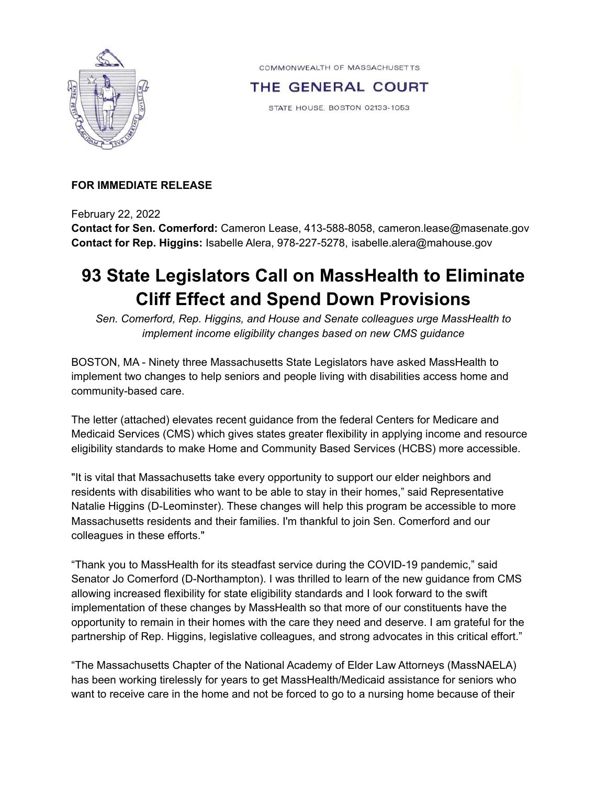

COMMONWEALTH OF MASSACHUSETTS

THE GENERAL COURT

STATE HOUSE, BOSTON 02133-1053

## **FOR IMMEDIATE RELEASE**

February 22, 2022

**Contact for Sen. Comerford:** Cameron Lease, 413-588-8058, cameron.lease@masenate.gov **Contact for Rep. Higgins:** Isabelle Alera, 978-227-5278, isabelle.alera@mahouse.gov

## **93 State Legislators Call on MassHealth to Eliminate Cliff Effect and Spend Down Provisions**

*Sen. Comerford, Rep. Higgins, and House and Senate colleagues urge MassHealth to implement income eligibility changes based on new CMS guidance*

BOSTON, MA - Ninety three Massachusetts State Legislators have asked MassHealth to implement two changes to help seniors and people living with disabilities access home and community-based care.

The letter (attached) elevates recent guidance from the federal Centers for Medicare and Medicaid Services (CMS) which gives states greater flexibility in applying income and resource eligibility standards to make Home and Community Based Services (HCBS) more accessible.

"It is vital that Massachusetts take every opportunity to support our elder neighbors and residents with disabilities who want to be able to stay in their homes," said Representative Natalie Higgins (D-Leominster). These changes will help this program be accessible to more Massachusetts residents and their families. I'm thankful to join Sen. Comerford and our colleagues in these efforts."

"Thank you to MassHealth for its steadfast service during the COVID-19 pandemic," said Senator Jo Comerford (D-Northampton). I was thrilled to learn of the new guidance from CMS allowing increased flexibility for state eligibility standards and I look forward to the swift implementation of these changes by MassHealth so that more of our constituents have the opportunity to remain in their homes with the care they need and deserve. I am grateful for the partnership of Rep. Higgins, legislative colleagues, and strong advocates in this critical effort."

"The Massachusetts Chapter of the National Academy of Elder Law Attorneys (MassNAELA) has been working tirelessly for years to get MassHealth/Medicaid assistance for seniors who want to receive care in the home and not be forced to go to a nursing home because of their